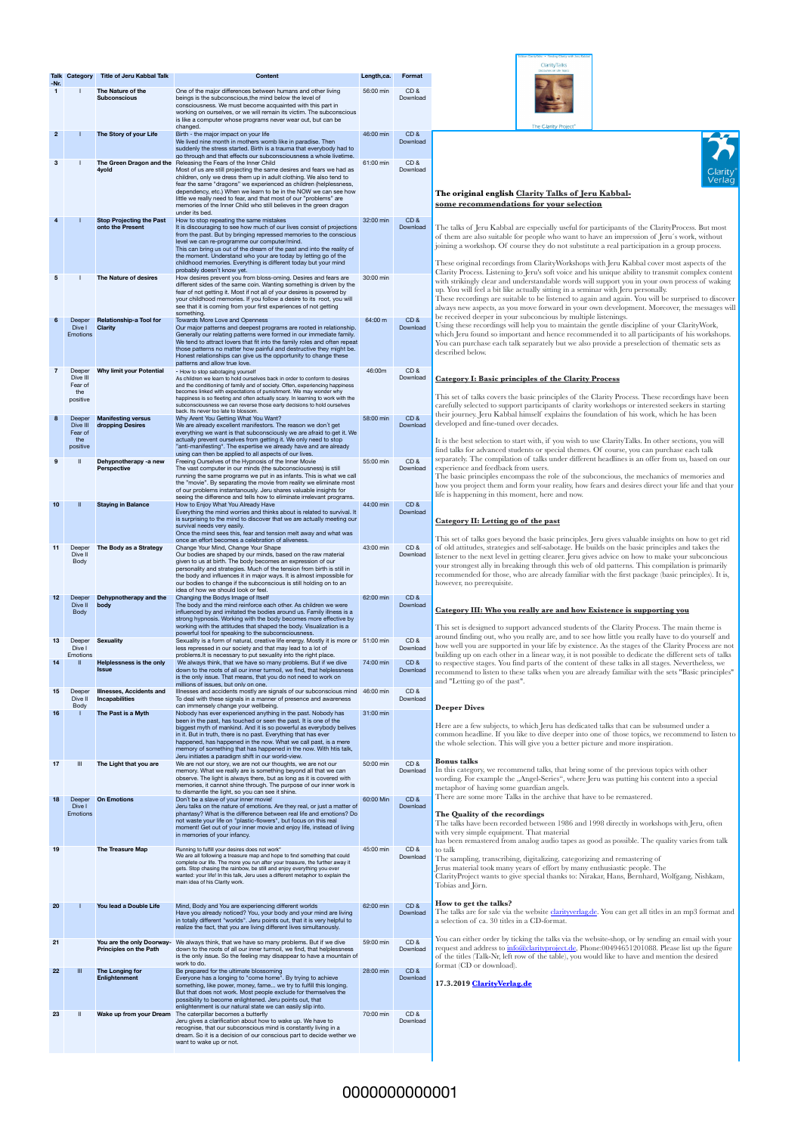| <b>Talk Category</b><br>$-Nr.$<br>$\overline{2}$<br>$\mathbf{3}$ | Deeper<br>Dive I<br><b>Emotions</b><br>Deeper<br>Dive III<br>Fear of<br>the<br>positive<br>Deeper<br>Dive III<br>Fear of | <b>Title of Jeru Kabbal Talk</b><br>The Nature of the<br><b>Subconscious</b><br>The Story of your Life<br>The Green Dragon and the<br>4yold<br><b>Stop Projecting the Past</b><br>onto the Present<br>The Nature of desires<br><b>Relationship-a Tool for</b><br><b>Clarity</b><br><b>Why limit your Potential</b> | <b>Content</b><br>One of the major differences between humans and other living<br>beings is the subconscious, the mind below the level of<br>consciousness. We must become acquainted with this part in<br>working on ourselves, or we will remain its victim. The subconscious<br>is like a computer whose programs never wear out, but can be<br>changed.<br>Birth - the major impact on your life<br>We lived nine month in mothers womb like in paradise. Then<br>suddenly the stress started. Birth is a trauma that everybody had to<br>go through and that effects our subconsciousness a whole livetime.<br>Releasing the Fears of the Inner Child<br>Most of us are still projecting the same desires and fears we had as<br>children, only we dress them up in adult clothing. We also tend to<br>fear the same "dragons" we experienced as children (helplessness,<br>dependency, etc.) When we learn to be in the NOW we can see how<br>little we really need to fear, and that most of our "problems" are<br>memories of the Inner Child who still believes in the green dragon<br>under its bed.<br>How to stop repeating the same mistakes<br>It is discouraging to see how much of our lives consist of projections<br>from the past. But by bringing repressed memories to the conscious<br>level we can re-programme our computer/mind.<br>This can bring us out of the dream of the past and into the reality of<br>the moment. Understand who your are today by letting go of the<br>childhood memories. Everything is different today but your mind<br>probably doesn't know yet.<br>How desires prevent you from bloss-oming. Desires and fears are<br>different sides of the same coin. Wanting something is driven by the<br>fear of not getting it. Most if not all of your desires is powered by<br>your childhood memories. If you follow a desire to its root, you will<br>see that it is coming from your first experiences of not getting<br>something.<br><b>Towards More Love and Openness</b><br>Our major patterns and deepest programs are rooted in relationship.<br>Generally our relating patterns were formed in our immediate family.<br>We tend to attract lovers that fit into the family roles and often repeat<br>those patterns no matter how painful and destructive they might be.<br>Honest relationships can give us the opportunity to change these<br>patterns and allow true love.<br>- How to stop sabotaging yourself<br>As children we learn to hold ourselves back in order to conform to desires | Length,ca.<br>56:00 min<br>46:00 min<br>61:00 min<br>32:00 min<br>30:00 min<br>$64:00 \; m$ | Format<br>CD&<br>Download<br>CD&<br>Download<br>CD&<br>Download<br>CD&<br>Download<br>CD&<br>Download | The Clarity Project®<br>Clarity <sup>®</sup><br>Verlag<br>The original english Clarity Talks of Jeru Kabbal-<br>some recommendations for your selection<br>The talks of Jeru Kabbal are especially useful for participants of the Clarity Process. But most<br>of them are also suitable for people who want to have an impression of Jeru's work, without<br>joining a workshop. Of course they do not substitute a real participation in a group process.<br>These original recordings from Clarity Workshops with Jeru Kabbal cover most aspects of the<br>Clarity Process. Listening to Jeru's soft voice and his unique ability to transmit complex content<br>with strikingly clear and understandable words will support you in your own process of waking<br>up. You will feel a bit like actually sitting in a seminar with Jeru personally.<br>These recordings are suitable to be listened to again and again. You will be surprised to discover<br>always new aspects, as you move forward in your own development. Moreover, the messages will<br>be received deeper in your subconcious by multiple listenings.<br>Using these recordings will help you to maintain the gentle discipline of your ClarityWork,<br>which Jeru found so important and hence recommended it to all participants of his workshops. |  |  |
|------------------------------------------------------------------|--------------------------------------------------------------------------------------------------------------------------|--------------------------------------------------------------------------------------------------------------------------------------------------------------------------------------------------------------------------------------------------------------------------------------------------------------------|-----------------------------------------------------------------------------------------------------------------------------------------------------------------------------------------------------------------------------------------------------------------------------------------------------------------------------------------------------------------------------------------------------------------------------------------------------------------------------------------------------------------------------------------------------------------------------------------------------------------------------------------------------------------------------------------------------------------------------------------------------------------------------------------------------------------------------------------------------------------------------------------------------------------------------------------------------------------------------------------------------------------------------------------------------------------------------------------------------------------------------------------------------------------------------------------------------------------------------------------------------------------------------------------------------------------------------------------------------------------------------------------------------------------------------------------------------------------------------------------------------------------------------------------------------------------------------------------------------------------------------------------------------------------------------------------------------------------------------------------------------------------------------------------------------------------------------------------------------------------------------------------------------------------------------------------------------------------------------------------------------------------------------------------------------------------------------------------------------------------------------------------------------------------------------------------------------------------------------------------------------------------------------------------------------------------------------------------------------------------------------------------------------------------------------------------------------------------------------------------------------------------------------------------------------------|---------------------------------------------------------------------------------------------|-------------------------------------------------------------------------------------------------------|------------------------------------------------------------------------------------------------------------------------------------------------------------------------------------------------------------------------------------------------------------------------------------------------------------------------------------------------------------------------------------------------------------------------------------------------------------------------------------------------------------------------------------------------------------------------------------------------------------------------------------------------------------------------------------------------------------------------------------------------------------------------------------------------------------------------------------------------------------------------------------------------------------------------------------------------------------------------------------------------------------------------------------------------------------------------------------------------------------------------------------------------------------------------------------------------------------------------------------------------------------------------------------------------------------------------------|--|--|
|                                                                  |                                                                                                                          |                                                                                                                                                                                                                                                                                                                    |                                                                                                                                                                                                                                                                                                                                                                                                                                                                                                                                                                                                                                                                                                                                                                                                                                                                                                                                                                                                                                                                                                                                                                                                                                                                                                                                                                                                                                                                                                                                                                                                                                                                                                                                                                                                                                                                                                                                                                                                                                                                                                                                                                                                                                                                                                                                                                                                                                                                                                                                                           |                                                                                             |                                                                                                       |                                                                                                                                                                                                                                                                                                                                                                                                                                                                                                                                                                                                                                                                                                                                                                                                                                                                                                                                                                                                                                                                                                                                                                                                                                                                                                                              |  |  |
|                                                                  |                                                                                                                          |                                                                                                                                                                                                                                                                                                                    |                                                                                                                                                                                                                                                                                                                                                                                                                                                                                                                                                                                                                                                                                                                                                                                                                                                                                                                                                                                                                                                                                                                                                                                                                                                                                                                                                                                                                                                                                                                                                                                                                                                                                                                                                                                                                                                                                                                                                                                                                                                                                                                                                                                                                                                                                                                                                                                                                                                                                                                                                           |                                                                                             |                                                                                                       |                                                                                                                                                                                                                                                                                                                                                                                                                                                                                                                                                                                                                                                                                                                                                                                                                                                                                                                                                                                                                                                                                                                                                                                                                                                                                                                              |  |  |
|                                                                  |                                                                                                                          |                                                                                                                                                                                                                                                                                                                    |                                                                                                                                                                                                                                                                                                                                                                                                                                                                                                                                                                                                                                                                                                                                                                                                                                                                                                                                                                                                                                                                                                                                                                                                                                                                                                                                                                                                                                                                                                                                                                                                                                                                                                                                                                                                                                                                                                                                                                                                                                                                                                                                                                                                                                                                                                                                                                                                                                                                                                                                                           |                                                                                             |                                                                                                       |                                                                                                                                                                                                                                                                                                                                                                                                                                                                                                                                                                                                                                                                                                                                                                                                                                                                                                                                                                                                                                                                                                                                                                                                                                                                                                                              |  |  |
|                                                                  |                                                                                                                          |                                                                                                                                                                                                                                                                                                                    |                                                                                                                                                                                                                                                                                                                                                                                                                                                                                                                                                                                                                                                                                                                                                                                                                                                                                                                                                                                                                                                                                                                                                                                                                                                                                                                                                                                                                                                                                                                                                                                                                                                                                                                                                                                                                                                                                                                                                                                                                                                                                                                                                                                                                                                                                                                                                                                                                                                                                                                                                           |                                                                                             |                                                                                                       |                                                                                                                                                                                                                                                                                                                                                                                                                                                                                                                                                                                                                                                                                                                                                                                                                                                                                                                                                                                                                                                                                                                                                                                                                                                                                                                              |  |  |
|                                                                  |                                                                                                                          |                                                                                                                                                                                                                                                                                                                    |                                                                                                                                                                                                                                                                                                                                                                                                                                                                                                                                                                                                                                                                                                                                                                                                                                                                                                                                                                                                                                                                                                                                                                                                                                                                                                                                                                                                                                                                                                                                                                                                                                                                                                                                                                                                                                                                                                                                                                                                                                                                                                                                                                                                                                                                                                                                                                                                                                                                                                                                                           |                                                                                             |                                                                                                       |                                                                                                                                                                                                                                                                                                                                                                                                                                                                                                                                                                                                                                                                                                                                                                                                                                                                                                                                                                                                                                                                                                                                                                                                                                                                                                                              |  |  |
|                                                                  |                                                                                                                          |                                                                                                                                                                                                                                                                                                                    |                                                                                                                                                                                                                                                                                                                                                                                                                                                                                                                                                                                                                                                                                                                                                                                                                                                                                                                                                                                                                                                                                                                                                                                                                                                                                                                                                                                                                                                                                                                                                                                                                                                                                                                                                                                                                                                                                                                                                                                                                                                                                                                                                                                                                                                                                                                                                                                                                                                                                                                                                           |                                                                                             |                                                                                                       |                                                                                                                                                                                                                                                                                                                                                                                                                                                                                                                                                                                                                                                                                                                                                                                                                                                                                                                                                                                                                                                                                                                                                                                                                                                                                                                              |  |  |
|                                                                  |                                                                                                                          |                                                                                                                                                                                                                                                                                                                    |                                                                                                                                                                                                                                                                                                                                                                                                                                                                                                                                                                                                                                                                                                                                                                                                                                                                                                                                                                                                                                                                                                                                                                                                                                                                                                                                                                                                                                                                                                                                                                                                                                                                                                                                                                                                                                                                                                                                                                                                                                                                                                                                                                                                                                                                                                                                                                                                                                                                                                                                                           |                                                                                             |                                                                                                       |                                                                                                                                                                                                                                                                                                                                                                                                                                                                                                                                                                                                                                                                                                                                                                                                                                                                                                                                                                                                                                                                                                                                                                                                                                                                                                                              |  |  |
|                                                                  |                                                                                                                          |                                                                                                                                                                                                                                                                                                                    |                                                                                                                                                                                                                                                                                                                                                                                                                                                                                                                                                                                                                                                                                                                                                                                                                                                                                                                                                                                                                                                                                                                                                                                                                                                                                                                                                                                                                                                                                                                                                                                                                                                                                                                                                                                                                                                                                                                                                                                                                                                                                                                                                                                                                                                                                                                                                                                                                                                                                                                                                           |                                                                                             |                                                                                                       |                                                                                                                                                                                                                                                                                                                                                                                                                                                                                                                                                                                                                                                                                                                                                                                                                                                                                                                                                                                                                                                                                                                                                                                                                                                                                                                              |  |  |
|                                                                  |                                                                                                                          |                                                                                                                                                                                                                                                                                                                    |                                                                                                                                                                                                                                                                                                                                                                                                                                                                                                                                                                                                                                                                                                                                                                                                                                                                                                                                                                                                                                                                                                                                                                                                                                                                                                                                                                                                                                                                                                                                                                                                                                                                                                                                                                                                                                                                                                                                                                                                                                                                                                                                                                                                                                                                                                                                                                                                                                                                                                                                                           |                                                                                             |                                                                                                       |                                                                                                                                                                                                                                                                                                                                                                                                                                                                                                                                                                                                                                                                                                                                                                                                                                                                                                                                                                                                                                                                                                                                                                                                                                                                                                                              |  |  |
|                                                                  |                                                                                                                          |                                                                                                                                                                                                                                                                                                                    |                                                                                                                                                                                                                                                                                                                                                                                                                                                                                                                                                                                                                                                                                                                                                                                                                                                                                                                                                                                                                                                                                                                                                                                                                                                                                                                                                                                                                                                                                                                                                                                                                                                                                                                                                                                                                                                                                                                                                                                                                                                                                                                                                                                                                                                                                                                                                                                                                                                                                                                                                           |                                                                                             |                                                                                                       |                                                                                                                                                                                                                                                                                                                                                                                                                                                                                                                                                                                                                                                                                                                                                                                                                                                                                                                                                                                                                                                                                                                                                                                                                                                                                                                              |  |  |
|                                                                  |                                                                                                                          |                                                                                                                                                                                                                                                                                                                    |                                                                                                                                                                                                                                                                                                                                                                                                                                                                                                                                                                                                                                                                                                                                                                                                                                                                                                                                                                                                                                                                                                                                                                                                                                                                                                                                                                                                                                                                                                                                                                                                                                                                                                                                                                                                                                                                                                                                                                                                                                                                                                                                                                                                                                                                                                                                                                                                                                                                                                                                                           |                                                                                             |                                                                                                       | You can purchase each talk separately but we also provide a preselection of thematic sets as<br>described below.                                                                                                                                                                                                                                                                                                                                                                                                                                                                                                                                                                                                                                                                                                                                                                                                                                                                                                                                                                                                                                                                                                                                                                                                             |  |  |
|                                                                  |                                                                                                                          |                                                                                                                                                                                                                                                                                                                    |                                                                                                                                                                                                                                                                                                                                                                                                                                                                                                                                                                                                                                                                                                                                                                                                                                                                                                                                                                                                                                                                                                                                                                                                                                                                                                                                                                                                                                                                                                                                                                                                                                                                                                                                                                                                                                                                                                                                                                                                                                                                                                                                                                                                                                                                                                                                                                                                                                                                                                                                                           | 46:00m                                                                                      | CD&<br>Download                                                                                       |                                                                                                                                                                                                                                                                                                                                                                                                                                                                                                                                                                                                                                                                                                                                                                                                                                                                                                                                                                                                                                                                                                                                                                                                                                                                                                                              |  |  |
|                                                                  |                                                                                                                          |                                                                                                                                                                                                                                                                                                                    | and the conditioning of family and of society. Often, experiencing happiness<br>becomes linked with expectations of punishment. We may wonder why<br>happiness is so fleeting and often actually scary. In learning to work with the<br>subconsciousness we can reverse those early decisions to hold ourselves                                                                                                                                                                                                                                                                                                                                                                                                                                                                                                                                                                                                                                                                                                                                                                                                                                                                                                                                                                                                                                                                                                                                                                                                                                                                                                                                                                                                                                                                                                                                                                                                                                                                                                                                                                                                                                                                                                                                                                                                                                                                                                                                                                                                                                           |                                                                                             |                                                                                                       | <b>Category I: Basic principles of the Clarity Process</b><br>This set of talks covers the basic principles of the Clarity Process. These recordings have been<br>carefully selected to support participants of clarity workshops or interested seekers in starting                                                                                                                                                                                                                                                                                                                                                                                                                                                                                                                                                                                                                                                                                                                                                                                                                                                                                                                                                                                                                                                          |  |  |
|                                                                  |                                                                                                                          | <b>Manifesting versus</b><br>dropping Desires                                                                                                                                                                                                                                                                      | back. Its never too late to blossom.<br>Why Arent You Getting What You Want?<br>We are already excellent manifestors. The reason we don't get                                                                                                                                                                                                                                                                                                                                                                                                                                                                                                                                                                                                                                                                                                                                                                                                                                                                                                                                                                                                                                                                                                                                                                                                                                                                                                                                                                                                                                                                                                                                                                                                                                                                                                                                                                                                                                                                                                                                                                                                                                                                                                                                                                                                                                                                                                                                                                                                             | 58:00 min                                                                                   | CD&<br>Download                                                                                       | their journey. Jeru Kabbal himself explains the foundation of his work, which he has been<br>developed and fine-tuned over decades.                                                                                                                                                                                                                                                                                                                                                                                                                                                                                                                                                                                                                                                                                                                                                                                                                                                                                                                                                                                                                                                                                                                                                                                          |  |  |
|                                                                  | the<br>positive                                                                                                          |                                                                                                                                                                                                                                                                                                                    | everything we want is that subconsciously we are afraid to get it. We<br>actually prevent ourselves from getting it. We only need to stop<br>"anti-manifesting". The expertise we already have and are already<br>using can then be applied to all aspects of our lives.                                                                                                                                                                                                                                                                                                                                                                                                                                                                                                                                                                                                                                                                                                                                                                                                                                                                                                                                                                                                                                                                                                                                                                                                                                                                                                                                                                                                                                                                                                                                                                                                                                                                                                                                                                                                                                                                                                                                                                                                                                                                                                                                                                                                                                                                                  |                                                                                             |                                                                                                       | It is the best selection to start with, if you wish to use Clarity Talks. In other sections, you will<br>find talks for advanced students or special themes. Of course, you can purchase each talk                                                                                                                                                                                                                                                                                                                                                                                                                                                                                                                                                                                                                                                                                                                                                                                                                                                                                                                                                                                                                                                                                                                           |  |  |
| 9                                                                |                                                                                                                          | Dehypnotherapy -a new<br><b>Perspective</b>                                                                                                                                                                                                                                                                        | Freeing Ourselves of the Hypnosis of the Inner Movie<br>The vast computer in our minds (the subconsciousness) is still                                                                                                                                                                                                                                                                                                                                                                                                                                                                                                                                                                                                                                                                                                                                                                                                                                                                                                                                                                                                                                                                                                                                                                                                                                                                                                                                                                                                                                                                                                                                                                                                                                                                                                                                                                                                                                                                                                                                                                                                                                                                                                                                                                                                                                                                                                                                                                                                                                    | 55:00 min                                                                                   | CD&<br>Download                                                                                       | separately. The compilation of talks under different headlines is an offer from us, based on our<br>experience and feedback from users.                                                                                                                                                                                                                                                                                                                                                                                                                                                                                                                                                                                                                                                                                                                                                                                                                                                                                                                                                                                                                                                                                                                                                                                      |  |  |
|                                                                  | -II                                                                                                                      |                                                                                                                                                                                                                                                                                                                    | running the same programs we put in as infants. This is what we call<br>the "movie". By separating the movie from reality we eliminate most<br>of our problems instantanously. Jeru shares valuable insights for<br>seeing the difference and tells how to eliminate irrelevant programs.                                                                                                                                                                                                                                                                                                                                                                                                                                                                                                                                                                                                                                                                                                                                                                                                                                                                                                                                                                                                                                                                                                                                                                                                                                                                                                                                                                                                                                                                                                                                                                                                                                                                                                                                                                                                                                                                                                                                                                                                                                                                                                                                                                                                                                                                 |                                                                                             | CD&                                                                                                   | The basic principles encompass the role of the subconcious, the mechanics of memories and<br>how you project them and form your reality, how fears and desires direct your life and that your<br>life is happening in this moment, here and now.                                                                                                                                                                                                                                                                                                                                                                                                                                                                                                                                                                                                                                                                                                                                                                                                                                                                                                                                                                                                                                                                             |  |  |
| 10                                                               |                                                                                                                          | <b>Staying in Balance</b>                                                                                                                                                                                                                                                                                          | How to Enjoy What You Already Have<br>Everything the mind worries and thinks about is related to survival. It<br>is surprising to the mind to discover that we are actually meeting our                                                                                                                                                                                                                                                                                                                                                                                                                                                                                                                                                                                                                                                                                                                                                                                                                                                                                                                                                                                                                                                                                                                                                                                                                                                                                                                                                                                                                                                                                                                                                                                                                                                                                                                                                                                                                                                                                                                                                                                                                                                                                                                                                                                                                                                                                                                                                                   | 44:00 min                                                                                   | Download                                                                                              |                                                                                                                                                                                                                                                                                                                                                                                                                                                                                                                                                                                                                                                                                                                                                                                                                                                                                                                                                                                                                                                                                                                                                                                                                                                                                                                              |  |  |
|                                                                  |                                                                                                                          |                                                                                                                                                                                                                                                                                                                    | survival needs very easily.<br>Once the mind sees this, fear and tension melt away and what was                                                                                                                                                                                                                                                                                                                                                                                                                                                                                                                                                                                                                                                                                                                                                                                                                                                                                                                                                                                                                                                                                                                                                                                                                                                                                                                                                                                                                                                                                                                                                                                                                                                                                                                                                                                                                                                                                                                                                                                                                                                                                                                                                                                                                                                                                                                                                                                                                                                           |                                                                                             |                                                                                                       | Category II: Letting go of the past                                                                                                                                                                                                                                                                                                                                                                                                                                                                                                                                                                                                                                                                                                                                                                                                                                                                                                                                                                                                                                                                                                                                                                                                                                                                                          |  |  |
| 11                                                               | Deeper                                                                                                                   | The Body as a Strategy                                                                                                                                                                                                                                                                                             | once an effort becomes a celebration of aliveness.<br>Change Your Mind, Change Your Shape                                                                                                                                                                                                                                                                                                                                                                                                                                                                                                                                                                                                                                                                                                                                                                                                                                                                                                                                                                                                                                                                                                                                                                                                                                                                                                                                                                                                                                                                                                                                                                                                                                                                                                                                                                                                                                                                                                                                                                                                                                                                                                                                                                                                                                                                                                                                                                                                                                                                 | 43:00 min                                                                                   | CD&                                                                                                   | This set of talks goes beyond the basic principles. Jeru gives valuable insights on how to get rid<br>of old attitudes, strategies and self-sabotage. He builds on the basic principles and takes the                                                                                                                                                                                                                                                                                                                                                                                                                                                                                                                                                                                                                                                                                                                                                                                                                                                                                                                                                                                                                                                                                                                        |  |  |
|                                                                  | Dive II<br><b>Body</b>                                                                                                   |                                                                                                                                                                                                                                                                                                                    | Our bodies are shaped by our minds, based on the raw material<br>given to us at birth. The body becomes an expression of our<br>personality and strategies. Much of the tension from birth is still in<br>the body and influences it in major ways. It is almost impossible for<br>our bodies to change if the subconscious is still holding on to an<br>idea of how we should look or feel.                                                                                                                                                                                                                                                                                                                                                                                                                                                                                                                                                                                                                                                                                                                                                                                                                                                                                                                                                                                                                                                                                                                                                                                                                                                                                                                                                                                                                                                                                                                                                                                                                                                                                                                                                                                                                                                                                                                                                                                                                                                                                                                                                              |                                                                                             | Download                                                                                              | listener to the next level in getting clearer. Jeru gives advice on how to make your subconcious<br>your strongest ally in breaking through this web of old patterns. This compilation is primarily<br>recommended for those, who are already familiar with the first package (basic principles). It is,<br>however, no prerequisite.                                                                                                                                                                                                                                                                                                                                                                                                                                                                                                                                                                                                                                                                                                                                                                                                                                                                                                                                                                                        |  |  |
|                                                                  | Deeper<br>Dive II                                                                                                        | Dehypnotherapy and the<br>body                                                                                                                                                                                                                                                                                     | Changing the Bodys Image of Itself<br>The body and the mind reinforce each other. As children we were                                                                                                                                                                                                                                                                                                                                                                                                                                                                                                                                                                                                                                                                                                                                                                                                                                                                                                                                                                                                                                                                                                                                                                                                                                                                                                                                                                                                                                                                                                                                                                                                                                                                                                                                                                                                                                                                                                                                                                                                                                                                                                                                                                                                                                                                                                                                                                                                                                                     | 62:00 min                                                                                   | CD&<br>Download                                                                                       |                                                                                                                                                                                                                                                                                                                                                                                                                                                                                                                                                                                                                                                                                                                                                                                                                                                                                                                                                                                                                                                                                                                                                                                                                                                                                                                              |  |  |
|                                                                  | <b>Body</b>                                                                                                              |                                                                                                                                                                                                                                                                                                                    | influenced by and imitated the bodies around us. Family illness is a<br>strong hypnosis. Working with the body becomes more effective by<br>working with the attitudes that shaped the body. Visualization is a<br>powerful tool for speaking to the subconsciousness.                                                                                                                                                                                                                                                                                                                                                                                                                                                                                                                                                                                                                                                                                                                                                                                                                                                                                                                                                                                                                                                                                                                                                                                                                                                                                                                                                                                                                                                                                                                                                                                                                                                                                                                                                                                                                                                                                                                                                                                                                                                                                                                                                                                                                                                                                    |                                                                                             |                                                                                                       | Category III: Who you really are and how Existence is supporting you<br>This set is designed to support advanced students of the Clarity Process. The main theme is<br>around finding out, who you really are, and to see how little you really have to do yourself and                                                                                                                                                                                                                                                                                                                                                                                                                                                                                                                                                                                                                                                                                                                                                                                                                                                                                                                                                                                                                                                      |  |  |
| 13                                                               | Deeper<br>Dive I<br>Emotions                                                                                             | <b>Sexuality</b>                                                                                                                                                                                                                                                                                                   | Sexuality is a form of natural, creative life energy. Mostly it is more or 51:00 min<br>less repressed in our society and that may lead to a lot of                                                                                                                                                                                                                                                                                                                                                                                                                                                                                                                                                                                                                                                                                                                                                                                                                                                                                                                                                                                                                                                                                                                                                                                                                                                                                                                                                                                                                                                                                                                                                                                                                                                                                                                                                                                                                                                                                                                                                                                                                                                                                                                                                                                                                                                                                                                                                                                                       |                                                                                             | CD&<br>Download                                                                                       | how well you are supported in your life by existence. As the stages of the Clarity Process are not<br>building up on each other in a linear way, it is not possible to dedicate the different sets of talks                                                                                                                                                                                                                                                                                                                                                                                                                                                                                                                                                                                                                                                                                                                                                                                                                                                                                                                                                                                                                                                                                                                  |  |  |
| 14                                                               |                                                                                                                          | Helplessness is the only<br><b>Issue</b>                                                                                                                                                                                                                                                                           | problems. It is necessary to put sexuality into the right place.<br>We always think, that we have so many problems. But if we dive<br>down to the roots of all our inner turmoil, we find, that helplessness<br>is the only issue. That means, that you do not need to work on<br>millions of issues, but only on one.                                                                                                                                                                                                                                                                                                                                                                                                                                                                                                                                                                                                                                                                                                                                                                                                                                                                                                                                                                                                                                                                                                                                                                                                                                                                                                                                                                                                                                                                                                                                                                                                                                                                                                                                                                                                                                                                                                                                                                                                                                                                                                                                                                                                                                    | 74:00 min                                                                                   | CD&<br>Download                                                                                       | to respective stages. You find parts of the content of these talks in all stages. Nevertheless, we<br>recommend to listen to these talks when you are already familiar with the sets "Basic principles"<br>and "Letting go of the past".                                                                                                                                                                                                                                                                                                                                                                                                                                                                                                                                                                                                                                                                                                                                                                                                                                                                                                                                                                                                                                                                                     |  |  |
| -15                                                              | Deeper<br>Dive II                                                                                                        | <b>Illnesses, Accidents and</b><br><b>Incapabilities</b>                                                                                                                                                                                                                                                           | Illnesses and accidents mostly are signals of our subconscious mind<br>To deal with these signals in a manner of presence and awareness                                                                                                                                                                                                                                                                                                                                                                                                                                                                                                                                                                                                                                                                                                                                                                                                                                                                                                                                                                                                                                                                                                                                                                                                                                                                                                                                                                                                                                                                                                                                                                                                                                                                                                                                                                                                                                                                                                                                                                                                                                                                                                                                                                                                                                                                                                                                                                                                                   | 46:00 min                                                                                   | CD&<br>Download                                                                                       |                                                                                                                                                                                                                                                                                                                                                                                                                                                                                                                                                                                                                                                                                                                                                                                                                                                                                                                                                                                                                                                                                                                                                                                                                                                                                                                              |  |  |
| 16                                                               | Body                                                                                                                     | The Past is a Myth                                                                                                                                                                                                                                                                                                 | can immensely change your wellbeing.<br>Nobody has ever experienced anything in the past. Nobody has                                                                                                                                                                                                                                                                                                                                                                                                                                                                                                                                                                                                                                                                                                                                                                                                                                                                                                                                                                                                                                                                                                                                                                                                                                                                                                                                                                                                                                                                                                                                                                                                                                                                                                                                                                                                                                                                                                                                                                                                                                                                                                                                                                                                                                                                                                                                                                                                                                                      | 31:00 min                                                                                   |                                                                                                       | <b>Deeper Dives</b>                                                                                                                                                                                                                                                                                                                                                                                                                                                                                                                                                                                                                                                                                                                                                                                                                                                                                                                                                                                                                                                                                                                                                                                                                                                                                                          |  |  |
|                                                                  |                                                                                                                          |                                                                                                                                                                                                                                                                                                                    | been in the past, has touched or seen the past. It is one of the<br>biggest myth of mankind. And it is so powerful as everybody belives<br>in it. But in truth, there is no past. Everything that has ever<br>happened, has happened in the now. What we call past, is a mere<br>memory of something that has happened in the now. With htis talk,                                                                                                                                                                                                                                                                                                                                                                                                                                                                                                                                                                                                                                                                                                                                                                                                                                                                                                                                                                                                                                                                                                                                                                                                                                                                                                                                                                                                                                                                                                                                                                                                                                                                                                                                                                                                                                                                                                                                                                                                                                                                                                                                                                                                        |                                                                                             |                                                                                                       | Here are a few subjects, to which Jeru has dedicated talks that can be subsumed under a<br>common headline. If you like to dive deeper into one of those topics, we recommend to listen to<br>the whole selection. This will give you a better picture and more inspiration.                                                                                                                                                                                                                                                                                                                                                                                                                                                                                                                                                                                                                                                                                                                                                                                                                                                                                                                                                                                                                                                 |  |  |
| 17                                                               | $\mathbf{III}$                                                                                                           | The Light that you are                                                                                                                                                                                                                                                                                             | Jeru initiates a paradigm shift in our world-view.<br>We are not our story, we are not our thoughts, we are not our                                                                                                                                                                                                                                                                                                                                                                                                                                                                                                                                                                                                                                                                                                                                                                                                                                                                                                                                                                                                                                                                                                                                                                                                                                                                                                                                                                                                                                                                                                                                                                                                                                                                                                                                                                                                                                                                                                                                                                                                                                                                                                                                                                                                                                                                                                                                                                                                                                       | 50:00 min                                                                                   | CD&                                                                                                   | <b>Bonus talks</b>                                                                                                                                                                                                                                                                                                                                                                                                                                                                                                                                                                                                                                                                                                                                                                                                                                                                                                                                                                                                                                                                                                                                                                                                                                                                                                           |  |  |
|                                                                  |                                                                                                                          |                                                                                                                                                                                                                                                                                                                    | memory. What we really are is something beyond all that we can<br>observe. The light is always there, but as long as it is covered with<br>memories, it cannot shine through. The purpose of our inner work is<br>to dismantle the light, so you can see it shine.                                                                                                                                                                                                                                                                                                                                                                                                                                                                                                                                                                                                                                                                                                                                                                                                                                                                                                                                                                                                                                                                                                                                                                                                                                                                                                                                                                                                                                                                                                                                                                                                                                                                                                                                                                                                                                                                                                                                                                                                                                                                                                                                                                                                                                                                                        |                                                                                             | Download                                                                                              | In this category, we recommend talks, that bring some of the previous topics with other<br>wording. For example the "Angel-Series", where Jeru was putting his content into a special<br>metaphor of having some guardian angels.<br>There are some more Talks in the archive that have to be remastered.                                                                                                                                                                                                                                                                                                                                                                                                                                                                                                                                                                                                                                                                                                                                                                                                                                                                                                                                                                                                                    |  |  |
| 18                                                               | Deeper<br>Dive I<br><b>Emotions</b>                                                                                      | <b>On Emotions</b>                                                                                                                                                                                                                                                                                                 | Don't be a slave of your inner movie!<br>Jeru talks on the nature of emotions. Are they real, or just a matter of<br>phantasy? What is the difference between real life and emotions? Do                                                                                                                                                                                                                                                                                                                                                                                                                                                                                                                                                                                                                                                                                                                                                                                                                                                                                                                                                                                                                                                                                                                                                                                                                                                                                                                                                                                                                                                                                                                                                                                                                                                                                                                                                                                                                                                                                                                                                                                                                                                                                                                                                                                                                                                                                                                                                                  | 60:00 Min                                                                                   | CD&<br>Download                                                                                       | The Quality of the recordings                                                                                                                                                                                                                                                                                                                                                                                                                                                                                                                                                                                                                                                                                                                                                                                                                                                                                                                                                                                                                                                                                                                                                                                                                                                                                                |  |  |
|                                                                  |                                                                                                                          |                                                                                                                                                                                                                                                                                                                    | not waste your life on "plastic-flowers", but focus on this real<br>moment! Get out of your inner movie and enjoy life, instead of living<br>in memories of your infancy.                                                                                                                                                                                                                                                                                                                                                                                                                                                                                                                                                                                                                                                                                                                                                                                                                                                                                                                                                                                                                                                                                                                                                                                                                                                                                                                                                                                                                                                                                                                                                                                                                                                                                                                                                                                                                                                                                                                                                                                                                                                                                                                                                                                                                                                                                                                                                                                 |                                                                                             |                                                                                                       | The talks have been recorded between 1986 and 1998 directly in workshops with Jeru, often<br>with very simple equipment. That material<br>has been remastered from analog audio tapes as good as possible. The quality varies from talk                                                                                                                                                                                                                                                                                                                                                                                                                                                                                                                                                                                                                                                                                                                                                                                                                                                                                                                                                                                                                                                                                      |  |  |
| 19                                                               |                                                                                                                          | <b>The Treasure Map</b>                                                                                                                                                                                                                                                                                            | Running to fulfill your desires does not work"<br>We are all following a treasure map and hope to find something that could<br>complete our life. The more you run after your treasure, the further away it<br>gets. Stop chasing the rainbow, be still and enjoy everything you ever<br>wanted: your life! In this talk, Jeru uses a different metaphor to explain the<br>main idea of his Clarity work.                                                                                                                                                                                                                                                                                                                                                                                                                                                                                                                                                                                                                                                                                                                                                                                                                                                                                                                                                                                                                                                                                                                                                                                                                                                                                                                                                                                                                                                                                                                                                                                                                                                                                                                                                                                                                                                                                                                                                                                                                                                                                                                                                 | 45:00 min                                                                                   | CD&<br>Download                                                                                       | to talk<br>The sampling, transcribing, digitalizing, categorizing and remastering of<br>Jerus material took many years of effort by many enthusiastic people. The<br>ClarityProject wants to give special thanks to: Nirakar, Hans, Bernhard, Wolfgang, Nishkam,<br>Tobias and Jörn.                                                                                                                                                                                                                                                                                                                                                                                                                                                                                                                                                                                                                                                                                                                                                                                                                                                                                                                                                                                                                                         |  |  |
| 20                                                               |                                                                                                                          | You lead a Double Life                                                                                                                                                                                                                                                                                             | Mind, Body and You are experiencing different worlds<br>Have you already noticed? You, your body and your mind are living<br>in totally different "worlds". Jeru points out, that it is very helpful to<br>realize the fact, that you are living different lives simultanously.                                                                                                                                                                                                                                                                                                                                                                                                                                                                                                                                                                                                                                                                                                                                                                                                                                                                                                                                                                                                                                                                                                                                                                                                                                                                                                                                                                                                                                                                                                                                                                                                                                                                                                                                                                                                                                                                                                                                                                                                                                                                                                                                                                                                                                                                           | 62:00 min                                                                                   | CD&<br>Download                                                                                       | How to get the talks?<br>The talks are for sale via the website clarityverlag.de. You can get all titles in an mp3 format and<br>a selection of ca. 30 titles in a CD-format.                                                                                                                                                                                                                                                                                                                                                                                                                                                                                                                                                                                                                                                                                                                                                                                                                                                                                                                                                                                                                                                                                                                                                |  |  |
| 21                                                               |                                                                                                                          | You are the only Doorway-<br><b>Principles on the Path</b>                                                                                                                                                                                                                                                         | We always think, that we have so many problems. But if we dive<br>down to the roots of all our inner turmoil, we find, that helplessness<br>is the only issue. So the feeling may disappear to have a mountain of<br>work to do.                                                                                                                                                                                                                                                                                                                                                                                                                                                                                                                                                                                                                                                                                                                                                                                                                                                                                                                                                                                                                                                                                                                                                                                                                                                                                                                                                                                                                                                                                                                                                                                                                                                                                                                                                                                                                                                                                                                                                                                                                                                                                                                                                                                                                                                                                                                          | 59:00 min                                                                                   | CD&<br>Download                                                                                       | You can either order by ticking the talks via the website-shop, or by sending an email with your<br>request and address to info@clarityproject.de, Phone:00494651201088. Please list up the figure<br>of the titles (Talk-Nr, left row of the table), you would like to have and mention the desired<br>format (CD or download).                                                                                                                                                                                                                                                                                                                                                                                                                                                                                                                                                                                                                                                                                                                                                                                                                                                                                                                                                                                             |  |  |
| 22                                                               | Ш                                                                                                                        | The Longing for<br><b>Enlightenment</b>                                                                                                                                                                                                                                                                            | Be prepared for the ultimate blossoming<br>Everyone has a longing to "come home". By trying to achieve<br>something, like power, money, fame we try to fulfill this longing.<br>But that does not work. Most people exclude for themselves the<br>possibility to become enlightened. Jeru points out, that<br>enlightenment is our natural state we can easily slip into.                                                                                                                                                                                                                                                                                                                                                                                                                                                                                                                                                                                                                                                                                                                                                                                                                                                                                                                                                                                                                                                                                                                                                                                                                                                                                                                                                                                                                                                                                                                                                                                                                                                                                                                                                                                                                                                                                                                                                                                                                                                                                                                                                                                 | 28:00 min                                                                                   | CD&<br>Download                                                                                       | 17.3.2019 ClarityVerlag.de                                                                                                                                                                                                                                                                                                                                                                                                                                                                                                                                                                                                                                                                                                                                                                                                                                                                                                                                                                                                                                                                                                                                                                                                                                                                                                   |  |  |
| 23                                                               |                                                                                                                          | Wake up from your Dream                                                                                                                                                                                                                                                                                            | The caterpillar becomes a butterfly<br>Jeru gives a clarification about how to wake up. We have to                                                                                                                                                                                                                                                                                                                                                                                                                                                                                                                                                                                                                                                                                                                                                                                                                                                                                                                                                                                                                                                                                                                                                                                                                                                                                                                                                                                                                                                                                                                                                                                                                                                                                                                                                                                                                                                                                                                                                                                                                                                                                                                                                                                                                                                                                                                                                                                                                                                        | 70:00 min                                                                                   | CD&<br>Download                                                                                       |                                                                                                                                                                                                                                                                                                                                                                                                                                                                                                                                                                                                                                                                                                                                                                                                                                                                                                                                                                                                                                                                                                                                                                                                                                                                                                                              |  |  |
|                                                                  |                                                                                                                          |                                                                                                                                                                                                                                                                                                                    | recognise, that our subconscious mind is constantly living in a<br>dream. So it is a decision of our conscious part to decide wether we<br>want to wake up or not.                                                                                                                                                                                                                                                                                                                                                                                                                                                                                                                                                                                                                                                                                                                                                                                                                                                                                                                                                                                                                                                                                                                                                                                                                                                                                                                                                                                                                                                                                                                                                                                                                                                                                                                                                                                                                                                                                                                                                                                                                                                                                                                                                                                                                                                                                                                                                                                        |                                                                                             |                                                                                                       |                                                                                                                                                                                                                                                                                                                                                                                                                                                                                                                                                                                                                                                                                                                                                                                                                                                                                                                                                                                                                                                                                                                                                                                                                                                                                                                              |  |  |

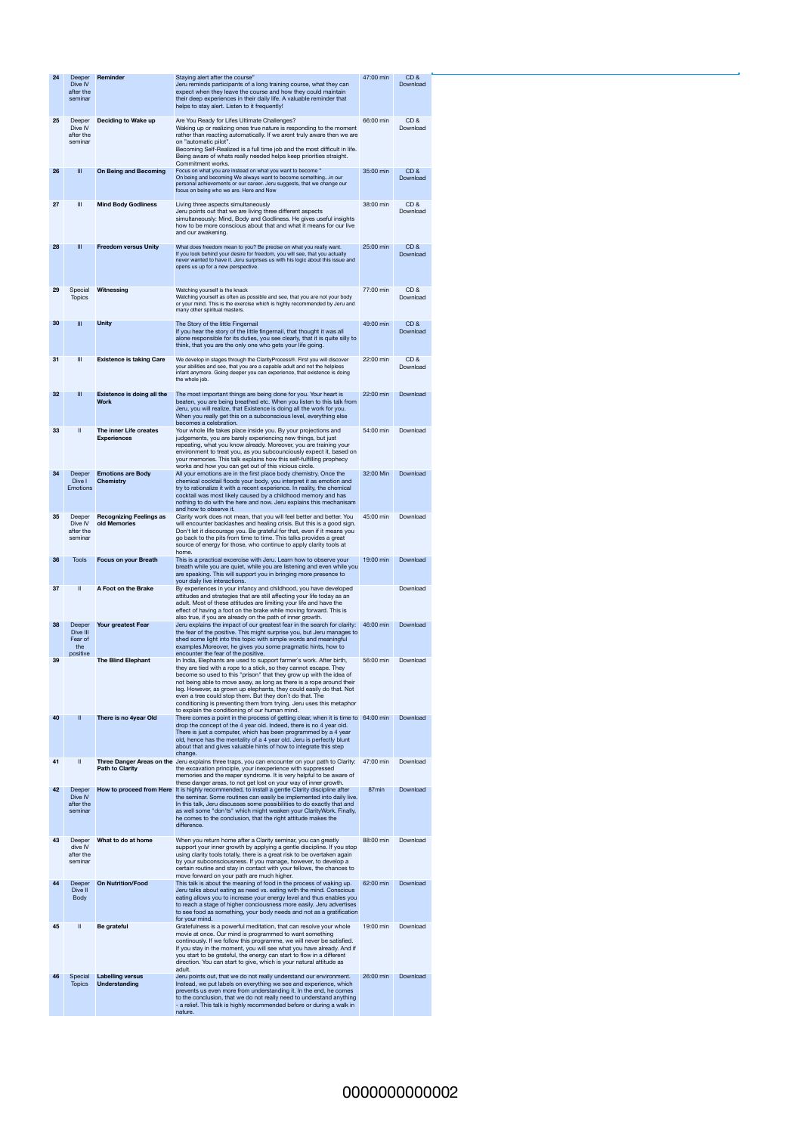| 24 | Deeper<br>Dive IV<br>after the<br>seminar        | Reminder                                         | Staying alert after the course"<br>Jeru reminds participants of a long training course, what they can<br>expect when they leave the course and how they could maintain<br>their deep experiences in their daily life. A valuable reminder that<br>helps to stay alert. Listen to it frequently!                                                                                                                                                                                                                                                     | 47:00 min | CD&<br>Download |
|----|--------------------------------------------------|--------------------------------------------------|-----------------------------------------------------------------------------------------------------------------------------------------------------------------------------------------------------------------------------------------------------------------------------------------------------------------------------------------------------------------------------------------------------------------------------------------------------------------------------------------------------------------------------------------------------|-----------|-----------------|
| 25 | Deeper<br>Dive IV<br>after the<br>seminar        | Deciding to Wake up                              | Are You Ready for Lifes Ultimate Challenges?<br>Waking up or realizing ones true nature is responding to the moment<br>rather than reacting automatically. If we arent truly aware then we are<br>on "automatic pilot".<br>Becoming Self-Realized is a full time job and the most difficult in life.<br>Being aware of whats really needed helps keep priorities straight.<br>Commitment works.                                                                                                                                                     | 66:00 min | CD&<br>Download |
| 26 | $\mathbf{III}$                                   | <b>On Being and Becoming</b>                     | Focus on what you are instead on what you want to become "<br>On being and becoming We always want to become somethingin our<br>personal achievements or our career. Jeru suggests, that we change our<br>focus on being who we are. Here and Now                                                                                                                                                                                                                                                                                                   | 35:00 min | CD&<br>Download |
| 27 | $\ensuremath{\mathsf{III}}\xspace$               | <b>Mind Body Godliness</b>                       | Living three aspects simultaneously<br>Jeru points out that we are living three different aspects<br>simultaneously: Mind, Body and Godliness. He gives useful insights<br>how to be more conscious about that and what it means for our live<br>and our awakening.                                                                                                                                                                                                                                                                                 | 38:00 min | CD&<br>Download |
| 28 | $\mathbf{III}$                                   | <b>Freedom versus Unity</b>                      | What does freedom mean to you? Be precise on what you really want.<br>If you look behind your desire for freedom, you will see, that you actually<br>never wanted to have it. Jeru surprises us with his logic about this issue and<br>opens us up for a new perspective.                                                                                                                                                                                                                                                                           | 25:00 min | CD&<br>Download |
| 29 | Special<br><b>Topics</b>                         | Witnessing                                       | Watching yourself is the knack<br>Watching yourself as often as possible and see, that you are not your body<br>or your mind. This is the exercise which is highly recommended by Jeru and<br>many other spiritual masters.                                                                                                                                                                                                                                                                                                                         | 77:00 min | CD&<br>Download |
| 30 | $\mathbf{III}$                                   | <b>Unity</b>                                     | The Story of the little Fingernail<br>If you hear the story of the little fingernail, that thought it was all<br>alone responsible for its duties, you see clearly, that it is quite silly to<br>think, that you are the only one who gets your life going.                                                                                                                                                                                                                                                                                         | 49:00 min | CD&<br>Download |
| 31 | $\ensuremath{\mathsf{III}}\xspace$               | <b>Existence is taking Care</b>                  | We develop in stages through the ClarityProcess®. First you will discover<br>your abilities and see, that you are a capable adult and not the helpless<br>infant anymore. Going deeper you can experience, that existence is doing<br>the whole job.                                                                                                                                                                                                                                                                                                | 22:00 min | CD&<br>Download |
| 32 | $\mathbf{III}$                                   | <b>Existence is doing all the</b><br><b>Work</b> | The most important things are being done for you. Your heart is<br>beaten, you are being breathed etc. When you listen to this talk from<br>Jeru, you will realize, that Existence is doing all the work for you.<br>When you really get this on a subconscious level, everything else<br>becomes a celebration.                                                                                                                                                                                                                                    | 22:00 min | Download        |
| 33 | Ш                                                | The inner Life creates<br><b>Experiences</b>     | Your whole life takes place inside you. By your projections and<br>judgements, you are barely experiencing new things, but just<br>repeating, what you know already. Moreover, you are training your<br>environment to treat you, as you subcounciously expect it, based on<br>your memories. This talk explains how this self-fulfilling prophecy<br>works and how you can get out of this vicious circle.                                                                                                                                         | 54:00 min | Download        |
| 34 | Deeper<br>Dive I<br><b>Emotions</b>              | <b>Emotions are Body</b><br><b>Chemistry</b>     | All your emotions are in the first place body chemistry. Once the<br>chemical cocktail floods your body, you interpret it as emotion and<br>try to rationalize it with a recent experience. In reality, the chemical<br>cocktail was most likely caused by a childhood memory and has<br>nothing to do with the here and now. Jeru explains this mechanisam<br>and how to observe it.                                                                                                                                                               | 32:00 Min | Download        |
| 35 | Deeper<br>Dive IV<br>after the<br>seminar        | <b>Recognizing Feelings as</b><br>old Memories   | Clarity work does not mean, that you will feel better and better. You<br>will encounter backlashes and healing crisis. But this is a good sign.<br>Don't let it discourage you. Be grateful for that, even if it means you<br>go back to the pits from time to time. This talks provides a great<br>source of energy for those, who continue to apply clarity tools at<br>home.                                                                                                                                                                     | 45:00 min | Download        |
| 36 | <b>Tools</b>                                     | <b>Focus on your Breath</b>                      | This is a practical excercise with Jeru. Learn how to observe your<br>breath while you are quiet, while you are listening and even while you<br>are speaking. This will support you in bringing more presence to<br>your daily live interactions.                                                                                                                                                                                                                                                                                                   | 19:00 min | Download        |
| 37 | $\mathbf \mathbf I$                              | A Foot on the Brake                              | By experiences in your infancy and childhood, you have developed<br>attitudes and strategies that are still affecting your life today as an<br>adult. Most of these attitudes are limiting your life and have the<br>effect of having a foot on the brake while moving forward. This is<br>also true, if you are already on the path of inner growth.                                                                                                                                                                                               |           | Download        |
| 38 | Deeper<br>Dive III<br>Fear of<br>the<br>positive | Your greatest Fear                               | Jeru explains the impact of our greatest fear in the search for clarity:<br>the fear of the positive. This might surprise you, but Jeru manages to<br>shed some light into this topic with simple words and meaningful<br>examples. Moreover, he gives you some pragmatic hints, how to<br>encounter the fear of the positive.                                                                                                                                                                                                                      | 46:00 min | Download        |
| 39 |                                                  | <b>The Blind Elephant</b>                        | In India, Elephants are used to support farmer's work. After birth,<br>they are tied with a rope to a stick, so they cannot escape. They<br>become so used to this "prison" that they grow up with the idea of<br>not being able to move away, as long as there is a rope around their<br>leg. However, as grown up elephants, they could easily do that. Not<br>even a tree could stop them. But they don't do that. The<br>conditioning is preventing them from trying. Jeru uses this metaphor<br>to explain the conditioning of our human mind. | 56:00 min | Download        |
| 40 | $\mathbf{II}$                                    | There is no 4year Old                            | There comes a point in the process of getting clear, when it is time to 64:00 min<br>drop the concept of the 4 year old. Indeed, there is no 4 year old.<br>There is just a computer, which has been programmed by a 4 year<br>old, hence has the mentality of a 4 year old. Jeru is perfectly blunt<br>about that and gives valuable hints of how to integrate this step<br>change.                                                                                                                                                                |           | Download        |
| 41 | $\mathbf{  }$                                    | <b>Path to Clarity</b>                           | Three Danger Areas on the Jeru explains three traps, you can encounter on your path to Clarity:<br>the excavation principle, your inexperience with suppressed<br>memories and the reaper syndrome. It is very helpful to be aware of<br>these danger areas, to not get lost on your way of inner growth.                                                                                                                                                                                                                                           | 47:00 min | Download        |
| 42 | Deeper<br>Dive IV<br>after the<br>seminar        | How to proceed from Here                         | It is highly recommended, to install a gentle Clarity discipline after<br>the seminar. Some routines can easily be implemented into daily live.<br>In this talk, Jeru discusses some possibilities to do exactly that and<br>as well some "don'ts" which might weaken your ClarityWork. Finally,<br>he comes to the conclusion, that the right attitude makes the<br>difference.                                                                                                                                                                    | 87min     | Download        |
| 43 | Deeper<br>dive IV<br>after the<br>seminar        | What to do at home                               | When you return home after a Clarity seminar, you can greatly<br>support your inner growth by applying a gentle discipline. If you stop<br>using clarity tools totally, there is a great risk to be overtaken again<br>by your subconsciousness. If you manage, however, to develop a<br>certain routine and stay in contact with your fellows, the chances to<br>move forward on your path are much higher.                                                                                                                                        | 88:00 min | Download        |
| 44 | Deeper<br>Dive II<br><b>Body</b>                 | <b>On Nutrition/Food</b>                         | This talk is about the meaning of food in the process of waking up.<br>Jeru talks about eating as need vs. eating with the mind. Conscious<br>eating allows you to increase your energy level and thus enables you<br>to reach a stage of higher conciousness more easily. Jeru advertises<br>to see food as something, your body needs and not as a gratification<br>for your mind.                                                                                                                                                                | 62:00 min | Download        |
| 45 | $\mathbf{  }$                                    | <b>Be grateful</b>                               | Gratefulness is a powerful meditation, that can resolve your whole<br>movie at once. Our mind is programmed to want something<br>continously. If we follow this programme, we will never be satisfied.<br>If you stay in the moment, you will see what you have already. And if<br>you start to be grateful, the energy can start to flow in a different<br>direction. You can start to give, which is your natural attitude as<br>adult.                                                                                                           | 19:00 min | Download        |
| 46 | Special<br><b>Topics</b>                         | <b>Labelling versus</b><br><b>Understanding</b>  | Jeru points out, that we do not really understand our environment.<br>Instead, we put labels on everything we see and experience, which<br>prevents us even more from understanding it. In the end, he comes<br>to the conclusion, that we do not really need to understand anything<br>- a relief. This talk is highly recommended before or during a walk in<br>nature.                                                                                                                                                                           | 26:00 min | Download        |